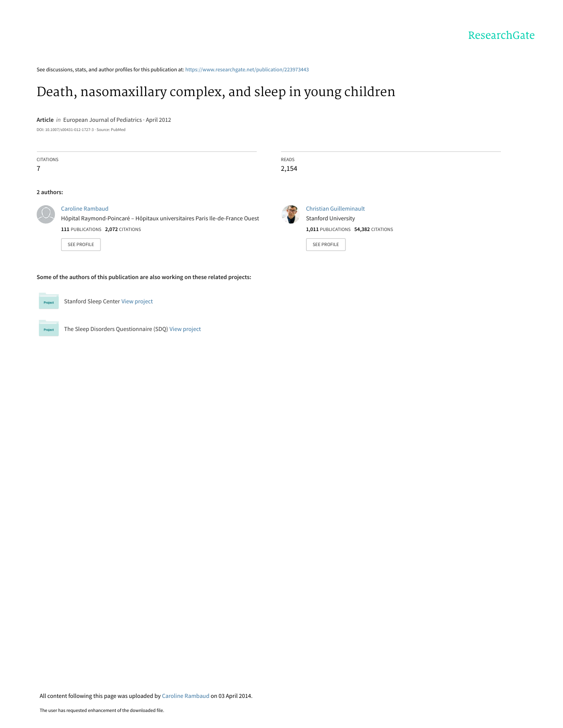See discussions, stats, and author profiles for this publication at: [https://www.researchgate.net/publication/223973443](https://www.researchgate.net/publication/223973443_Death_nasomaxillary_complex_and_sleep_in_young_children?enrichId=rgreq-6ccdd575ed5eadea527a892c2882064d-XXX&enrichSource=Y292ZXJQYWdlOzIyMzk3MzQ0MztBUzo5OTY3ODQ0NDA2NDc3NUAxNDAwNzc2NjAxNTMy&el=1_x_2&_esc=publicationCoverPdf)

# [Death, nasomaxillary complex, and sleep in young children](https://www.researchgate.net/publication/223973443_Death_nasomaxillary_complex_and_sleep_in_young_children?enrichId=rgreq-6ccdd575ed5eadea527a892c2882064d-XXX&enrichSource=Y292ZXJQYWdlOzIyMzk3MzQ0MztBUzo5OTY3ODQ0NDA2NDc3NUAxNDAwNzc2NjAxNTMy&el=1_x_3&_esc=publicationCoverPdf)

**Article** in European Journal of Pediatrics · April 2012 DOI: 10.1007/s00431-012-1727-3 · Source: PubMed

| CITATIONS<br>$\overline{7}$ |                                                                                                                                                            | READS<br>2,154 |                                                                                                                           |
|-----------------------------|------------------------------------------------------------------------------------------------------------------------------------------------------------|----------------|---------------------------------------------------------------------------------------------------------------------------|
| 2 authors:                  |                                                                                                                                                            |                |                                                                                                                           |
|                             | <b>Caroline Rambaud</b><br>Hôpital Raymond-Poincaré - Hôpitaux universitaires Paris Ile-de-France Ouest<br>111 PUBLICATIONS 2,072 CITATIONS<br>SEE PROFILE |                | <b>Christian Guilleminault</b><br><b>Stanford University</b><br>1,011 PUBLICATIONS 54,382 CITATIONS<br><b>SEE PROFILE</b> |
|                             | Some of the authors of this publication are also working on these related projects:                                                                        |                |                                                                                                                           |
| Project                     | Stanford Sleep Center View project                                                                                                                         |                |                                                                                                                           |

Project

The Sleep Disorders Questionnaire (SDQ) [View project](https://www.researchgate.net/project/The-Sleep-Disorders-Questionnaire-SDQ?enrichId=rgreq-6ccdd575ed5eadea527a892c2882064d-XXX&enrichSource=Y292ZXJQYWdlOzIyMzk3MzQ0MztBUzo5OTY3ODQ0NDA2NDc3NUAxNDAwNzc2NjAxNTMy&el=1_x_9&_esc=publicationCoverPdf)

All content following this page was uploaded by [Caroline Rambaud](https://www.researchgate.net/profile/Caroline_Rambaud2?enrichId=rgreq-6ccdd575ed5eadea527a892c2882064d-XXX&enrichSource=Y292ZXJQYWdlOzIyMzk3MzQ0MztBUzo5OTY3ODQ0NDA2NDc3NUAxNDAwNzc2NjAxNTMy&el=1_x_10&_esc=publicationCoverPdf) on 03 April 2014.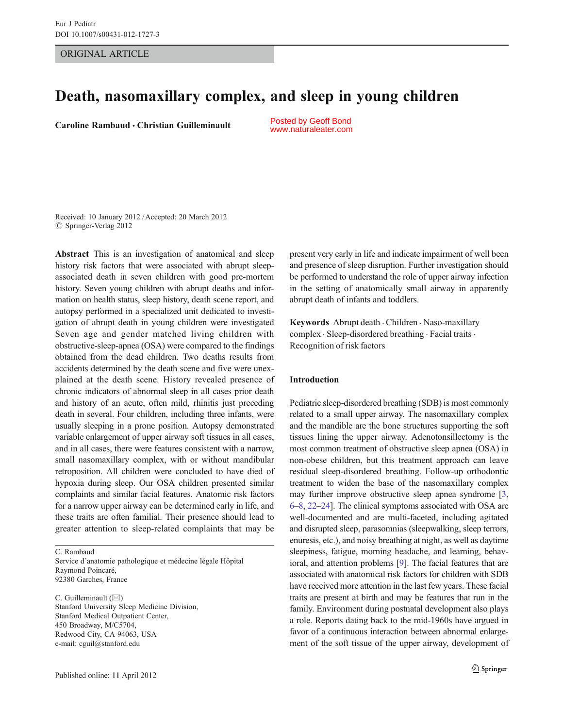ORIGINAL ARTICLE

## Death, nasomaxillary complex, and sleep in young children

Caroline Rambaud · Christian Guilleminault

Posted by Geoff Bond w[ww.naturaleater.com](http://www.naturaleater.com) 

Received: 10 January 2012 /Accepted: 20 March 2012  $\oslash$  Springer-Verlag 2012

Abstract This is an investigation of anatomical and sleep history risk factors that were associated with abrupt sleepassociated death in seven children with good pre-mortem history. Seven young children with abrupt deaths and information on health status, sleep history, death scene report, and autopsy performed in a specialized unit dedicated to investigation of abrupt death in young children were investigated Seven age and gender matched living children with obstructive-sleep-apnea (OSA) were compared to the findings obtained from the dead children. Two deaths results from accidents determined by the death scene and five were unexplained at the death scene. History revealed presence of chronic indicators of abnormal sleep in all cases prior death and history of an acute, often mild, rhinitis just preceding death in several. Four children, including three infants, were usually sleeping in a prone position. Autopsy demonstrated variable enlargement of upper airway soft tissues in all cases, and in all cases, there were features consistent with a narrow, small nasomaxillary complex, with or without mandibular retroposition. All children were concluded to have died of hypoxia during sleep. Our OSA children presented similar complaints and similar facial features. Anatomic risk factors for a narrow upper airway can be determined early in life, and these traits are often familial. Their presence should lead to greater attention to sleep-related complaints that may be

C. Rambaud Service d'anatomie pathologique et médecine légale Hôpital Raymond Poincaré, 92380 Garches, France

C. Guilleminault  $(\boxtimes)$ Stanford University Sleep Medicine Division, Stanford Medical Outpatient Center, 450 Broadway, M/C5704, Redwood City, CA 94063, USA e-mail: cguil@stanford.edu

present very early in life and indicate impairment of well been and presence of sleep disruption. Further investigation should be performed to understand the role of upper airway infection in the setting of anatomically small airway in apparently abrupt death of infants and toddlers.

Keywords Abrupt death . Children . Naso-maxillary complex . Sleep-disordered breathing . Facial traits. Recognition of risk factors

## Introduction

Pediatric sleep-disordered breathing (SDB) is most commonly related to a small upper airway. The nasomaxillary complex and the mandible are the bone structures supporting the soft tissues lining the upper airway. Adenotonsillectomy is the most common treatment of obstructive sleep apnea (OSA) in non-obese children, but this treatment approach can leave residual sleep-disordered breathing. Follow-up orthodontic treatment to widen the base of the nasomaxillary complex may further improve obstructive sleep apnea syndrome [3, 6–8, 22–24]. The clinical symptoms associated with OSA are well-documented and are multi-faceted, including agitated and disrupted sleep, parasomnias (sleepwalking, sleep terrors, enuresis, etc.), and noisy breathing at night, as well as daytime sleepiness, fatigue, morning headache, and learning, behavioral, and attention problems [9]. The facial features that are associated with anatomical risk factors for children with SDB have received more attention in the last few years. These facial traits are present at birth and may be features that run in the family. Environment during postnatal development also plays a role. Reports dating back to the mid-1960s have argued in favor of a continuous interaction between abnormal enlargement of the soft tissue of the upper airway, development of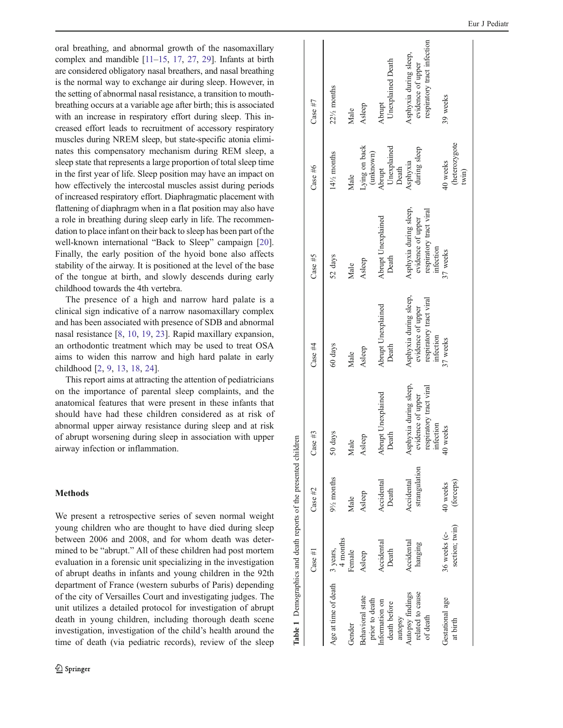oral breathing, and abnormal growth of the nasomaxillary complex and mandible [11–15, 17, 27, 29]. Infants at birth are considered obligatory nasal breathers, and nasal breathing is the normal way to exchange air during sleep. However, in the setting of abnormal nasal resistance, a transition to mouthbreathing occurs at a variable age after birth; this is associated with an increase in respiratory effort during sleep. This increased effort leads to recruitment of accessory respiratory muscles during NREM sleep, but state-specific atonia eliminates this compensatory mechanism during REM sleep, a sleep state that represents a large proportion of total sleep time in the first year of life. Sleep position may have an impact on how effectively the intercostal muscles assist during periods of increased respiratory effort. Diaphragmatic placement with flattening of diaphragm when in a flat position may also have a role in breathing during sleep early in life. The recommendation to place infant on their back to sleep has been part of the well-known international "Back to Sleep" campaign [20]. Finally, the early position of the hyoid bone also affects stability of the airway. It is positioned at the level of the base of the tongue at birth, and slowly descends during early childhood towards the 4th vertebra.

The presence of a high and narrow hard palate is a clinical sign indicative of a narrow nasomaxillary complex and has been associated with presence of SDB and abnormal nasal resistance [8, 10, 19, 23]. Rapid maxillary expansion, an orthodontic treatment which may be used to treat OSA aims to widen this narrow and high hard palate in early childhood [2, 9, 13, 18, 24].

This report aims at attracting the attention of pediatricians on the importance of parental sleep complaints, and the anatomical features that were present in these infants that should have had these children considered as at risk of abnormal upper airway resistance during sleep and at risk of abrupt worsening during sleep in association with upper airway infection or inflammation.

### **Methods**

We present a retrospective series of seven normal weight young children who are thought to have died during sleep between 2006 and 2008, and for whom death was determined to be "abrupt." All of these children had post mortem evaluation in a forensic unit specializing in the investigation of abrupt deaths in infants and young children in the 92th department of France (western suburbs of Paris) depending of the city of Versailles Court and investigating judges. The unit utilizes a detailed protocol for investigation of abrupt death in young children, including thorough death scene investigation, investigation of the child's health around the time of death (via pediatric records), review of the sleep

|                                    | Case #1              | Case $#2$             | Case $#3$                           | Case #4                              | Case $#5$                            | Case #6                                             | Case $#7$                   |
|------------------------------------|----------------------|-----------------------|-------------------------------------|--------------------------------------|--------------------------------------|-----------------------------------------------------|-----------------------------|
| Age at time of death               | 4 months<br>3 years, | $9\frac{1}{2}$ months | days<br>$\overline{50}$             | 60 days                              | 52 days                              | $14\frac{1}{2}$ months                              | $22\%$ months               |
| Gender                             | Female               | Male                  | Male                                | Male                                 | Male                                 | Male                                                | Male                        |
| Behavioral state<br>prior to death | Asleep               | Asleep                | Asleep                              | Asleep                               | Asleep                               | Lying on back<br>(unknown)<br>Abrupt<br>Unexplained | Asleep                      |
| Information on                     | Accidental           | Accidental            | Abrupt Unexplained                  | Abrupt Unexplained                   | Abrupt Unexplained                   |                                                     | Abrupt                      |
| death before<br>autopsy            | Death                | Death                 | Death                               | Death                                | Death                                | Death                                               | Unexplained Death           |
| Autopsy findings                   | Accidental           | Accidental            | Asphyxia during sleep,              | Asphyxia during sleep,               | Asphyxia during sleep,               |                                                     | Asphyxia during sleep,      |
| related to cause                   | hanging              | strangulation         | evidence of upper                   | evidence of upper                    | evidence of upper                    | Asphyxia<br>during sleep                            | evidence of upper           |
| of death                           |                      |                       | respiratory tract viral<br>nfection | respiratory tract viral<br>infection | respiratory tract viral<br>infection |                                                     | respiratory tract infection |
| Gestational age                    | 36 weeks (c-         | 40 weeks              | weeks<br>$\overline{40}$            | 37 weeks                             | 37 weeks                             | 40 weeks                                            | 39 weeks                    |
| at birth                           | section; twin)       | (forceps)             |                                     |                                      |                                      | (heterozygote<br>twin)                              |                             |
|                                    |                      |                       |                                     |                                      |                                      |                                                     |                             |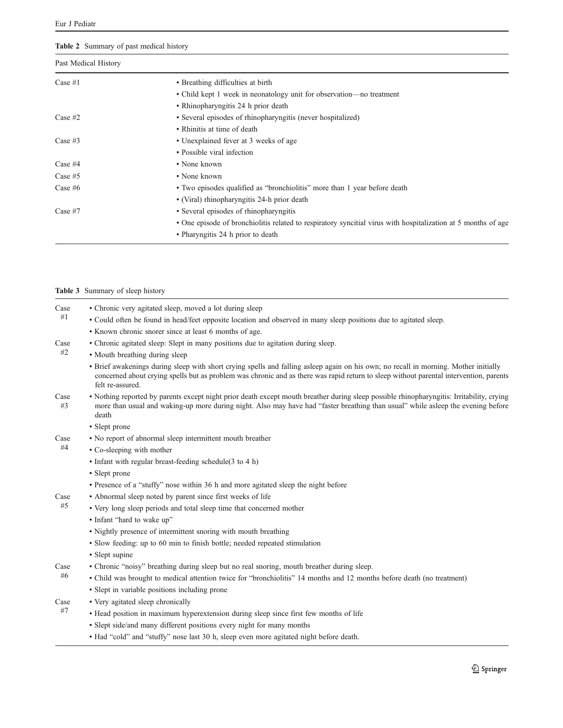## Table 2 Summary of past medical history

| Past Medical History |                                                                                                               |
|----------------------|---------------------------------------------------------------------------------------------------------------|
| Case $#1$            | • Breathing difficulties at birth                                                                             |
|                      | • Child kept 1 week in neonatology unit for observation—no treatment                                          |
|                      | • Rhinopharyngitis 24 h prior death                                                                           |
| Case $#2$            | • Several episodes of rhinopharyngitis (never hospitalized)                                                   |
|                      | • Rhinitis at time of death                                                                                   |
| Case $#3$            | • Unexplained fever at 3 weeks of age                                                                         |
|                      | • Possible viral infection                                                                                    |
| Case $#4$            | • None known                                                                                                  |
| Case $#5$            | • None known                                                                                                  |
| Case $#6$            | • Two episodes qualified as "bronchiolitis" more than 1 year before death                                     |
|                      | • (Viral) rhinopharyngitis 24-h prior death                                                                   |
| Case $#7$            | • Several episodes of rhinopharyngitis                                                                        |
|                      | • One episode of bronchiolitis related to respiratory syncitial virus with hospitalization at 5 months of age |
|                      | • Pharyngitis 24 h prior to death                                                                             |

## Table 3 Summary of sleep history

| Case       | • Chronic very agitated sleep, moved a lot during sleep                                                                                                                                                                                                                                            |  |  |  |
|------------|----------------------------------------------------------------------------------------------------------------------------------------------------------------------------------------------------------------------------------------------------------------------------------------------------|--|--|--|
| #1         | • Could often be found in head/feet opposite location and observed in many sleep positions due to agitated sleep.                                                                                                                                                                                  |  |  |  |
|            | • Known chronic snorer since at least 6 months of age.                                                                                                                                                                                                                                             |  |  |  |
| Case       | • Chronic agitated sleep: Slept in many positions due to agitation during sleep.                                                                                                                                                                                                                   |  |  |  |
| #2         | • Mouth breathing during sleep                                                                                                                                                                                                                                                                     |  |  |  |
|            | • Brief awakenings during sleep with short crying spells and falling asleep again on his own; no recall in morning. Mother initially<br>concerned about crying spells but as problem was chronic and as there was rapid return to sleep without parental intervention, parents<br>felt re-assured. |  |  |  |
| Case<br>#3 | • Nothing reported by parents except night prior death except mouth breather during sleep possible rhinopharyngitis: Irritability, crying<br>more than usual and waking-up more during night. Also may have had "faster breathing than usual" while asleep the evening before<br>death             |  |  |  |
|            | • Slept prone                                                                                                                                                                                                                                                                                      |  |  |  |
| Case       | • No report of abnormal sleep intermittent mouth breather                                                                                                                                                                                                                                          |  |  |  |
| #4         | • Co-sleeping with mother                                                                                                                                                                                                                                                                          |  |  |  |
|            | • Infant with regular breast-feeding schedule(3 to 4 h)                                                                                                                                                                                                                                            |  |  |  |
|            | • Slept prone                                                                                                                                                                                                                                                                                      |  |  |  |
|            | • Presence of a "stuffy" nose within 36 h and more agitated sleep the night before                                                                                                                                                                                                                 |  |  |  |
| Case       | • Abnormal sleep noted by parent since first weeks of life                                                                                                                                                                                                                                         |  |  |  |
| #5         | • Very long sleep periods and total sleep time that concerned mother                                                                                                                                                                                                                               |  |  |  |
|            | • Infant "hard to wake up"                                                                                                                                                                                                                                                                         |  |  |  |
|            | • Nightly presence of intermittent snoring with mouth breathing                                                                                                                                                                                                                                    |  |  |  |
|            | • Slow feeding: up to 60 min to finish bottle; needed repeated stimulation                                                                                                                                                                                                                         |  |  |  |
|            | • Slept supine                                                                                                                                                                                                                                                                                     |  |  |  |
| Case<br>#6 | • Chronic "noisy" breathing during sleep but no real snoring, mouth breather during sleep.                                                                                                                                                                                                         |  |  |  |
|            | • Child was brought to medical attention twice for "bronchiolitis" 14 months and 12 months before death (no treatment)                                                                                                                                                                             |  |  |  |
|            | • Slept in variable positions including prone                                                                                                                                                                                                                                                      |  |  |  |
| Case       | • Very agitated sleep chronically                                                                                                                                                                                                                                                                  |  |  |  |
| #7         | • Head position in maximum hyperextension during sleep since first few months of life                                                                                                                                                                                                              |  |  |  |
|            | • Slept side/and many different positions every night for many months                                                                                                                                                                                                                              |  |  |  |
|            | • Had "cold" and "stuffy" nose last 30 h, sleep even more agitated night before death.                                                                                                                                                                                                             |  |  |  |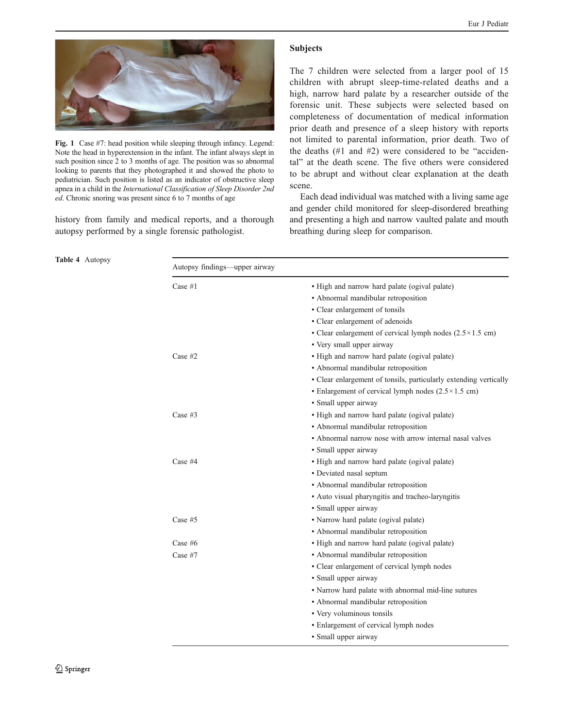

Fig. 1 Case #7: head position while sleeping through infancy. Legend: Note the head in hyperextension in the infant. The infant always slept in such position since 2 to 3 months of age. The position was so abnormal looking to parents that they photographed it and showed the photo to pediatrician. Such position is listed as an indicator of obstructive sleep apnea in a child in the International Classification of Sleep Disorder 2nd ed. Chronic snoring was present since 6 to 7 months of age

history from family and medical reports, and a thorough autopsy performed by a single forensic pathologist.

The 7 children were selected from a larger pool of 15 children with abrupt sleep-time-related deaths and a high, narrow hard palate by a researcher outside of the forensic unit. These subjects were selected based on completeness of documentation of medical information prior death and presence of a sleep history with reports not limited to parental information, prior death. Two of the deaths (#1 and #2) were considered to be "accidental" at the death scene. The five others were considered to be abrupt and without clear explanation at the death scene.

Each dead individual was matched with a living same age and gender child monitored for sleep-disordered breathing and presenting a high and narrow vaulted palate and mouth breathing during sleep for comparison.

| Case $#1$ | • High and narrow hard palate (ogival palate)                             |
|-----------|---------------------------------------------------------------------------|
|           | • Abnormal mandibular retroposition                                       |
|           | • Clear enlargement of tonsils                                            |
|           | • Clear enlargement of adenoids                                           |
|           | • Clear enlargement of cervical lymph nodes $(2.5 \times 1.5 \text{ cm})$ |
|           | · Very small upper airway                                                 |
| Case $#2$ | . High and narrow hard palate (ogival palate)                             |
|           | • Abnormal mandibular retroposition                                       |
|           | • Clear enlargement of tonsils, particularly extending vertically         |
|           | • Enlargement of cervical lymph nodes $(2.5 \times 1.5 \text{ cm})$       |
|           | • Small upper airway                                                      |
| Case $#3$ | · High and narrow hard palate (ogival palate)                             |
|           | · Abnormal mandibular retroposition                                       |
|           | • Abnormal narrow nose with arrow internal nasal valves                   |
|           | · Small upper airway                                                      |
| Case $#4$ | · High and narrow hard palate (ogival palate)                             |
|           | · Deviated nasal septum                                                   |
|           | • Abnormal mandibular retroposition                                       |
|           | • Auto visual pharyngitis and tracheo-laryngitis                          |
|           | · Small upper airway                                                      |
| Case $#5$ | • Narrow hard palate (ogival palate)                                      |
|           | · Abnormal mandibular retroposition                                       |
| Case $#6$ | . High and narrow hard palate (ogival palate)                             |
| Case $#7$ | • Abnormal mandibular retroposition                                       |
|           | • Clear enlargement of cervical lymph nodes                               |
|           | • Small upper airway                                                      |
|           | · Narrow hard palate with abnormal mid-line sutures                       |
|           | • Abnormal mandibular retroposition                                       |
|           | • Very voluminous tonsils                                                 |
|           | · Enlargement of cervical lymph nodes                                     |
|           | • Small upper airway                                                      |

Subjects

Table 4 Autopsy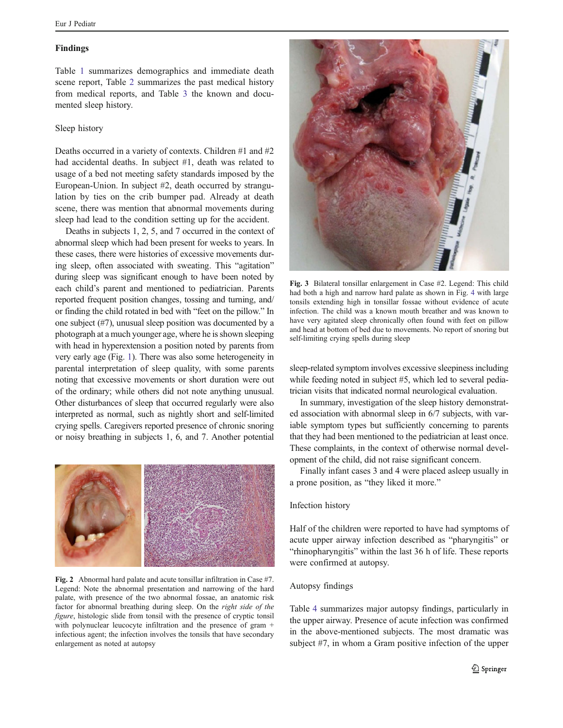#### Findings

Table 1 summarizes demographics and immediate death scene report, Table 2 summarizes the past medical history from medical reports, and Table 3 the known and documented sleep history.

#### Sleep history

Deaths occurred in a variety of contexts. Children #1 and #2 had accidental deaths. In subject #1, death was related to usage of a bed not meeting safety standards imposed by the European-Union. In subject #2, death occurred by strangulation by ties on the crib bumper pad. Already at death scene, there was mention that abnormal movements during sleep had lead to the condition setting up for the accident.

Deaths in subjects 1, 2, 5, and 7 occurred in the context of abnormal sleep which had been present for weeks to years. In these cases, there were histories of excessive movements during sleep, often associated with sweating. This "agitation" during sleep was significant enough to have been noted by each child's parent and mentioned to pediatrician. Parents reported frequent position changes, tossing and turning, and/ or finding the child rotated in bed with "feet on the pillow." In one subject (#7), unusual sleep position was documented by a photograph at a much younger age, where he is shown sleeping with head in hyperextension a position noted by parents from very early age (Fig. 1). There was also some heterogeneity in parental interpretation of sleep quality, with some parents noting that excessive movements or short duration were out of the ordinary; while others did not note anything unusual. Other disturbances of sleep that occurred regularly were also interpreted as normal, such as nightly short and self-limited crying spells. Caregivers reported presence of chronic snoring or noisy breathing in subjects 1, 6, and 7. Another potential



Fig. 2 Abnormal hard palate and acute tonsillar infiltration in Case #7. Legend: Note the abnormal presentation and narrowing of the hard palate, with presence of the two abnormal fossae, an anatomic risk factor for abnormal breathing during sleep. On the right side of the figure, histologic slide from tonsil with the presence of cryptic tonsil with polynuclear leucocyte infiltration and the presence of gram + infectious agent; the infection involves the tonsils that have secondary enlargement as noted at autopsy



Fig. 3 Bilateral tonsillar enlargement in Case #2. Legend: This child had both a high and narrow hard palate as shown in Fig. 4 with large tonsils extending high in tonsillar fossae without evidence of acute infection. The child was a known mouth breather and was known to have very agitated sleep chronically often found with feet on pillow and head at bottom of bed due to movements. No report of snoring but self-limiting crying spells during sleep

sleep-related symptom involves excessive sleepiness including while feeding noted in subject #5, which led to several pediatrician visits that indicated normal neurological evaluation.

In summary, investigation of the sleep history demonstrated association with abnormal sleep in 6/7 subjects, with variable symptom types but sufficiently concerning to parents that they had been mentioned to the pediatrician at least once. These complaints, in the context of otherwise normal development of the child, did not raise significant concern.

Finally infant cases 3 and 4 were placed asleep usually in a prone position, as "they liked it more."

#### Infection history

Half of the children were reported to have had symptoms of acute upper airway infection described as "pharyngitis" or "rhinopharyngitis" within the last 36 h of life. These reports were confirmed at autopsy.

#### Autopsy findings

Table 4 summarizes major autopsy findings, particularly in the upper airway. Presence of acute infection was confirmed in the above-mentioned subjects. The most dramatic was subject #7, in whom a Gram positive infection of the upper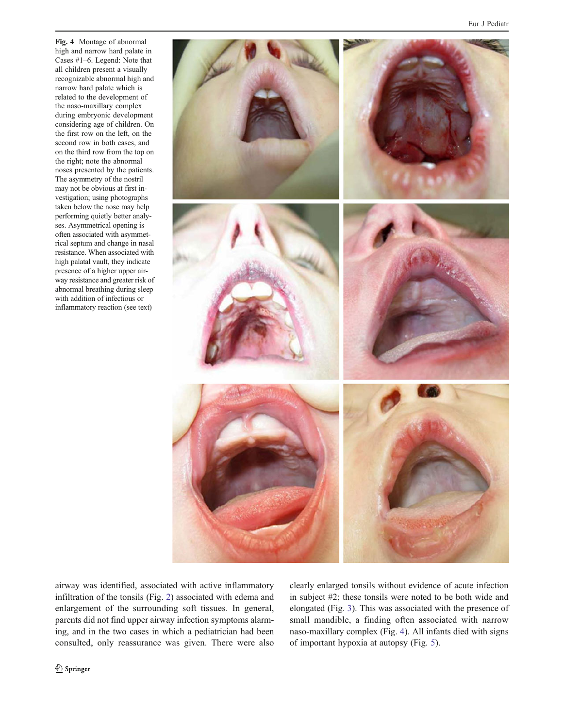Fig. 4 Montage of abnormal high and narrow hard palate in Cases #1–6. Legend: Note that all children present a visually recognizable abnormal high and narrow hard palate which is related to the development of the naso-maxillary complex during embryonic development considering age of children. On the first row on the left, on the second row in both cases, and on the third row from the top on the right; note the abnormal noses presented by the patients. The asymmetry of the nostril may not be obvious at first investigation; using photographs taken below the nose may help performing quietly better analyses. Asymmetrical opening is often associated with asymmetrical septum and change in nasal resistance. When associated with high palatal vault, they indicate presence of a higher upper airway resistance and greater risk of abnormal breathing during sleep with addition of infectious or inflammatory reaction (see text)



airway was identified, associated with active inflammatory infiltration of the tonsils (Fig. 2) associated with edema and enlargement of the surrounding soft tissues. In general, parents did not find upper airway infection symptoms alarming, and in the two cases in which a pediatrician had been consulted, only reassurance was given. There were also

clearly enlarged tonsils without evidence of acute infection in subject #2; these tonsils were noted to be both wide and elongated (Fig. 3). This was associated with the presence of small mandible, a finding often associated with narrow naso-maxillary complex (Fig. 4). All infants died with signs of important hypoxia at autopsy (Fig. 5).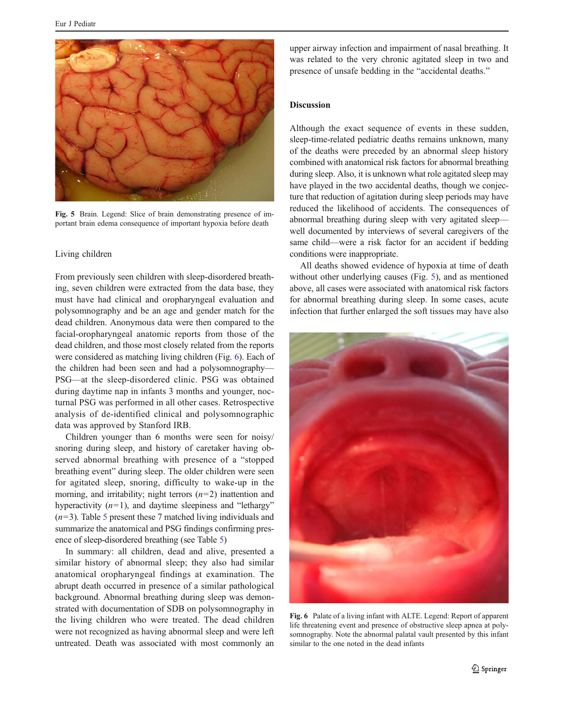

Fig. 5 Brain. Legend: Slice of brain demonstrating presence of important brain edema consequence of important hypoxia before death

#### Living children

From previously seen children with sleep-disordered breathing, seven children were extracted from the data base, they must have had clinical and oropharyngeal evaluation and polysomnography and be an age and gender match for the dead children. Anonymous data were then compared to the facial-oropharyngeal anatomic reports from those of the dead children, and those most closely related from the reports were considered as matching living children (Fig. 6). Each of the children had been seen and had a polysomnography— PSG—at the sleep-disordered clinic. PSG was obtained during daytime nap in infants 3 months and younger, nocturnal PSG was performed in all other cases. Retrospective analysis of de-identified clinical and polysomnographic data was approved by Stanford IRB.

Children younger than 6 months were seen for noisy/ snoring during sleep, and history of caretaker having observed abnormal breathing with presence of a "stopped breathing event" during sleep. The older children were seen for agitated sleep, snoring, difficulty to wake-up in the morning, and irritability; night terrors  $(n=2)$  inattention and hyperactivity  $(n=1)$ , and daytime sleepiness and "lethargy"  $(n=3)$ . Table 5 present these 7 matched living individuals and summarize the anatomical and PSG findings confirming presence of sleep-disordered breathing (see Table 5)

In summary: all children, dead and alive, presented a similar history of abnormal sleep; they also had similar anatomical oropharyngeal findings at examination. The abrupt death occurred in presence of a similar pathological background. Abnormal breathing during sleep was demonstrated with documentation of SDB on polysomnography in the living children who were treated. The dead children were not recognized as having abnormal sleep and were left untreated. Death was associated with most commonly an

upper airway infection and impairment of nasal breathing. It was related to the very chronic agitated sleep in two and presence of unsafe bedding in the "accidental deaths."

## Discussion

Although the exact sequence of events in these sudden, sleep-time-related pediatric deaths remains unknown, many of the deaths were preceded by an abnormal sleep history combined with anatomical risk factors for abnormal breathing during sleep. Also, it is unknown what role agitated sleep may have played in the two accidental deaths, though we conjecture that reduction of agitation during sleep periods may have reduced the likelihood of accidents. The consequences of abnormal breathing during sleep with very agitated sleep well documented by interviews of several caregivers of the same child—were a risk factor for an accident if bedding conditions were inappropriate.

All deaths showed evidence of hypoxia at time of death without other underlying causes (Fig. 5), and as mentioned above, all cases were associated with anatomical risk factors for abnormal breathing during sleep. In some cases, acute infection that further enlarged the soft tissues may have also



Fig. 6 Palate of a living infant with ALTE. Legend: Report of apparent life threatening event and presence of obstructive sleep apnea at polysomnography. Note the abnormal palatal vault presented by this infant similar to the one noted in the dead infants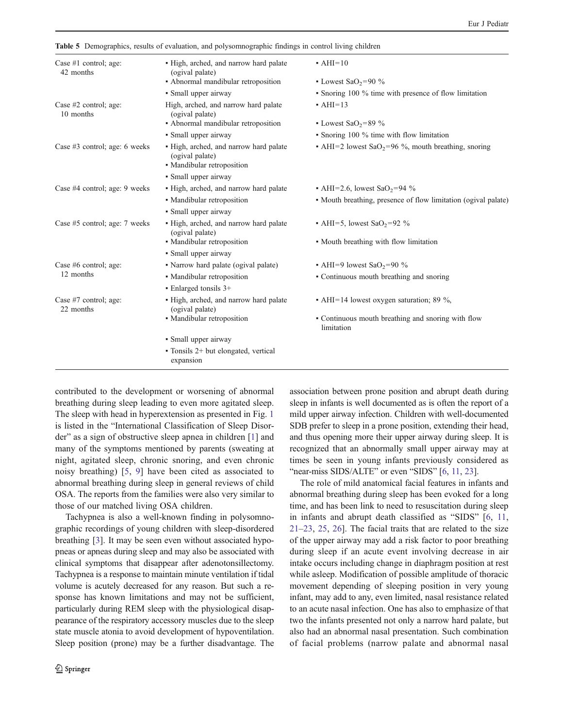Table 5 Demographics, results of evaluation, and polysomnographic findings in control living children

| Case $#1$ control; age:<br>42 months | • High, arched, and narrow hard palate<br>(ogival palate)                               | $\bullet$ AHI=10                                                 |
|--------------------------------------|-----------------------------------------------------------------------------------------|------------------------------------------------------------------|
|                                      | · Abnormal mandibular retroposition                                                     | • Lowest $SaO_2=90\%$                                            |
|                                      | • Small upper airway                                                                    | • Snoring 100 % time with presence of flow limitation            |
| Case $#2$ control; age:<br>10 months | High, arched, and narrow hard palate<br>(ogival palate)                                 | $\bullet$ AHI=13                                                 |
|                                      | • Abnormal mandibular retroposition                                                     | • Lowest $SaO_2=89\%$                                            |
|                                      | • Small upper airway                                                                    | • Snoring 100 % time with flow limitation                        |
| Case $#3$ control; age: 6 weeks      | · High, arched, and narrow hard palate<br>(ogival palate)<br>• Mandibular retroposition | • AHI=2 lowest $SaO_2=96\%$ , mouth breathing, snoring           |
|                                      | • Small upper airway                                                                    |                                                                  |
| Case #4 control; age: 9 weeks        | • High, arched, and narrow hard palate                                                  | • AHI=2.6, lowest SaO <sub>2</sub> =94 %                         |
|                                      | • Mandibular retroposition                                                              | • Mouth breathing, presence of flow limitation (ogival palate)   |
|                                      | • Small upper airway                                                                    |                                                                  |
| Case #5 control; age: 7 weeks        | · High, arched, and narrow hard palate<br>(ogival palate)                               | • AHI=5, lowest $SaO_2=92\%$                                     |
|                                      | • Mandibular retroposition                                                              | • Mouth breathing with flow limitation                           |
|                                      | • Small upper airway                                                                    |                                                                  |
| Case #6 control; age:                | • Narrow hard palate (ogival palate)                                                    | • AHI=9 lowest SaO <sub>2</sub> =90 %                            |
| 12 months                            | • Mandibular retroposition                                                              | • Continuous mouth breathing and snoring                         |
|                                      | $\bullet$ Enlarged tonsils $3+$                                                         |                                                                  |
| Case #7 control; age:<br>22 months   | • High, arched, and narrow hard palate<br>(ogival palate)                               | • AHI=14 lowest oxygen saturation; 89 %,                         |
|                                      | • Mandibular retroposition                                                              | • Continuous mouth breathing and snoring with flow<br>limitation |
|                                      | • Small upper airway                                                                    |                                                                  |
|                                      | • Tonsils 2+ but elongated, vertical<br>expansion                                       |                                                                  |

contributed to the development or worsening of abnormal breathing during sleep leading to even more agitated sleep. The sleep with head in hyperextension as presented in Fig. 1 is listed in the "International Classification of Sleep Disorder" as a sign of obstructive sleep apnea in children [1] and many of the symptoms mentioned by parents (sweating at night, agitated sleep, chronic snoring, and even chronic noisy breathing) [5, 9] have been cited as associated to abnormal breathing during sleep in general reviews of child OSA. The reports from the families were also very similar to those of our matched living OSA children.

Tachypnea is also a well-known finding in polysomnographic recordings of young children with sleep-disordered breathing [3]. It may be seen even without associated hypopneas or apneas during sleep and may also be associated with clinical symptoms that disappear after adenotonsillectomy. Tachypnea is a response to maintain minute ventilation if tidal volume is acutely decreased for any reason. But such a response has known limitations and may not be sufficient, particularly during REM sleep with the physiological disappearance of the respiratory accessory muscles due to the sleep state muscle atonia to avoid development of hypoventilation. Sleep position (prone) may be a further disadvantage. The association between prone position and abrupt death during sleep in infants is well documented as is often the report of a mild upper airway infection. Children with well-documented SDB prefer to sleep in a prone position, extending their head, and thus opening more their upper airway during sleep. It is recognized that an abnormally small upper airway may at times be seen in young infants previously considered as "near-miss SIDS/ALTE" or even "SIDS" [6, 11, 23].

The role of mild anatomical facial features in infants and abnormal breathing during sleep has been evoked for a long time, and has been link to need to resuscitation during sleep in infants and abrupt death classified as "SIDS" [6, 11, 21–23, 25, 26]. The facial traits that are related to the size of the upper airway may add a risk factor to poor breathing during sleep if an acute event involving decrease in air intake occurs including change in diaphragm position at rest while asleep. Modification of possible amplitude of thoracic movement depending of sleeping position in very young infant, may add to any, even limited, nasal resistance related to an acute nasal infection. One has also to emphasize of that two the infants presented not only a narrow hard palate, but also had an abnormal nasal presentation. Such combination of facial problems (narrow palate and abnormal nasal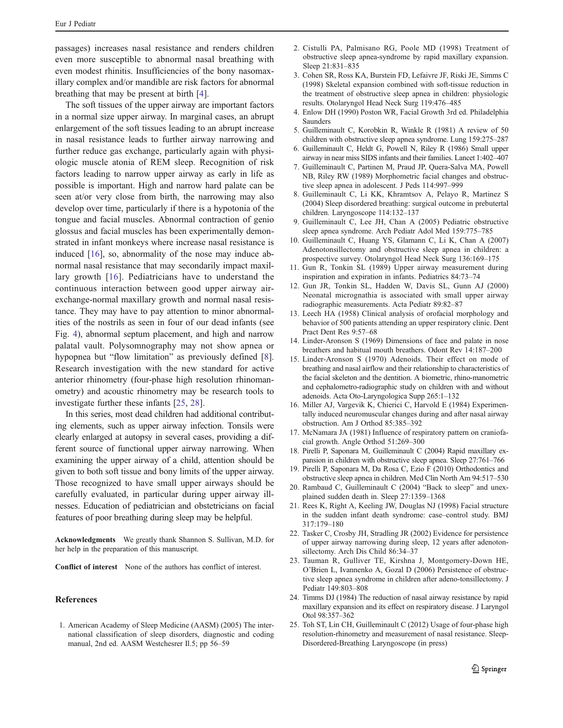passages) increases nasal resistance and renders children even more susceptible to abnormal nasal breathing with even modest rhinitis. Insufficiencies of the bony nasomaxillary complex and/or mandible are risk factors for abnormal breathing that may be present at birth [4].

The soft tissues of the upper airway are important factors in a normal size upper airway. In marginal cases, an abrupt enlargement of the soft tissues leading to an abrupt increase in nasal resistance leads to further airway narrowing and further reduce gas exchange, particularly again with physiologic muscle atonia of REM sleep. Recognition of risk factors leading to narrow upper airway as early in life as possible is important. High and narrow hard palate can be seen at/or very close from birth, the narrowing may also develop over time, particularly if there is a hypotonia of the tongue and facial muscles. Abnormal contraction of genio glossus and facial muscles has been experimentally demonstrated in infant monkeys where increase nasal resistance is induced [16], so, abnormality of the nose may induce abnormal nasal resistance that may secondarily impact maxillary growth [16]. Pediatricians have to understand the continuous interaction between good upper airway airexchange-normal maxillary growth and normal nasal resistance. They may have to pay attention to minor abnormalities of the nostrils as seen in four of our dead infants (see Fig. 4), abnormal septum placement, and high and narrow palatal vault. Polysomnography may not show apnea or hypopnea but "flow limitation" as previously defined [8]. Research investigation with the new standard for active anterior rhinometry (four-phase high resolution rhinomanometry) and acoustic rhinometry may be research tools to investigate further these infants [25, 28].

In this series, most dead children had additional contributing elements, such as upper airway infection. Tonsils were clearly enlarged at autopsy in several cases, providing a different source of functional upper airway narrowing. When examining the upper airway of a child, attention should be given to both soft tissue and bony limits of the upper airway. Those recognized to have small upper airways should be carefully evaluated, in particular during upper airway illnesses. Education of pediatrician and obstetricians on facial features of poor breathing during sleep may be helpful.

Acknowledgments We greatly thank Shannon S. Sullivan, M.D. for her help in the preparation of this manuscript.

Conflict of interest None of the authors has conflict of interest.

#### References

1. American Academy of Sleep Medicine (AASM) (2005) The international classification of sleep disorders, diagnostic and coding manual, 2nd ed. AASM Westchesrer Il.5; pp 56–59

- 2. Cistulli PA, Palmisano RG, Poole MD (1998) Treatment of obstructive sleep apnea-syndrome by rapid maxillary expansion. Sleep 21:831–835
- 3. Cohen SR, Ross KA, Burstein FD, Lefaivre JF, Riski JE, Simms C (1998) Skeletal expansion combined with soft-tissue reduction in the treatment of obstructive sleep apnea in children: physiologic results. Otolaryngol Head Neck Surg 119:476–485
- 4. Enlow DH (1990) Poston WR, Facial Growth 3rd ed. Philadelphia Saunders
- 5. Guilleminault C, Korobkin R, Winkle R (1981) A review of 50 children with obstructive sleep apnea syndrome. Lung 159:275–287
- 6. Guilleminault C, Heldt G, Powell N, Riley R (1986) Small upper airway in near miss SIDS infants and their families. Lancet 1:402–407
- 7. Guilleminault C, Partinen M, Praud JP, Quera-Salva MA, Powell NB, Riley RW (1989) Morphometric facial changes and obstructive sleep apnea in adolescent. J Peds 114:997–999
- 8. Guilleminault C, Li KK, Khramtsov A, Pelayo R, Martinez S (2004) Sleep disordered breathing: surgical outcome in prebutertal children. Laryngoscope 114:132–137
- 9. Guilleminault C, Lee JH, Chan A (2005) Pediatric obstructive sleep apnea syndrome. Arch Pediatr Adol Med 159:775–785
- 10. Guilleminault C, Huang YS, Glamann C, Li K, Chan A (2007) Adenotonsillectomy and obstructive sleep apnea in children: a prospective survey. Otolaryngol Head Neck Surg 136:169–175
- 11. Gun R, Tonkin SL (1989) Upper airway measurement during inspiration and expiration in infants. Pediatrics 84:73–74
- 12. Gun JR, Tonkin SL, Hadden W, Davis SL, Gunn AJ (2000) Neonatal micrognathia is associated with small upper airway radiographic measurements. Acta Pediatr 89:82–87
- 13. Leech HA (1958) Clinical analysis of orofacial morphology and behavior of 500 patients attending an upper respiratory clinic. Dent Pract Dent Res 9:57–68
- 14. Linder-Aronson S (1969) Dimensions of face and palate in nose breathers and habitual mouth breathers. Odont Rev 14:187–200
- 15. Linder-Aronson S (1970) Adenoids. Their effect on mode of breathing and nasal airflow and their relationship to characteristics of the facial skeleton and the dentition. A biometric, rhino-manometric and cephalometro-radiographic study on children with and without adenoids. Acta Oto-Laryngologica Supp 265:1–132
- 16. Miller AJ, Vargevik K, Chierici C, Harvold E (1984) Experimentally induced neuromuscular changes during and after nasal airway obstruction. Am J Orthod 85:385–392
- 17. McNamara JA (1981) Influence of respiratory pattern on craniofacial growth. Angle Orthod 51:269–300
- 18. Pirelli P, Saponara M, Guilleminault C (2004) Rapid maxillary expansion in children with obstructive sleep apnea. Sleep 27:761–766
- 19. Pirelli P, Saponara M, Da Rosa C, Ezio F (2010) Orthodontics and obstructive sleep apnea in children. Med Clin North Am 94:517–530
- 20. Rambaud C, Guilleminault C (2004) "Back to sleep" and unexplained sudden death in. Sleep 27:1359–1368
- 21. Rees K, Right A, Keeling JW, Douglas NJ (1998) Facial structure in the sudden infant death syndrome: case–control study. BMJ 317:179–180
- 22. Tasker C, Crosby JH, Stradling JR (2002) Evidence for persistence of upper airway narrowing during sleep, 12 years after adenotonsillectomy. Arch Dis Child 86:34–37
- 23. Tauman R, Gulliver TE, Kirshna J, Montgomery-Down HE, O'Brien L, Ivannenko A, Gozal D (2006) Persistence of obstructive sleep apnea syndrome in children after adeno-tonsillectomy. J Pediatr 149:803–808
- 24. Timms DJ (1984) The reduction of nasal airway resistance by rapid maxillary expansion and its effect on respiratory disease. J Laryngol Otol 98:357–362
- 25. Toh ST, Lin CH, Guilleminault C (2012) Usage of four-phase high resolution-rhinometry and measurement of nasal resistance. Sleep-Disordered-Breathing Laryngoscope (in press)